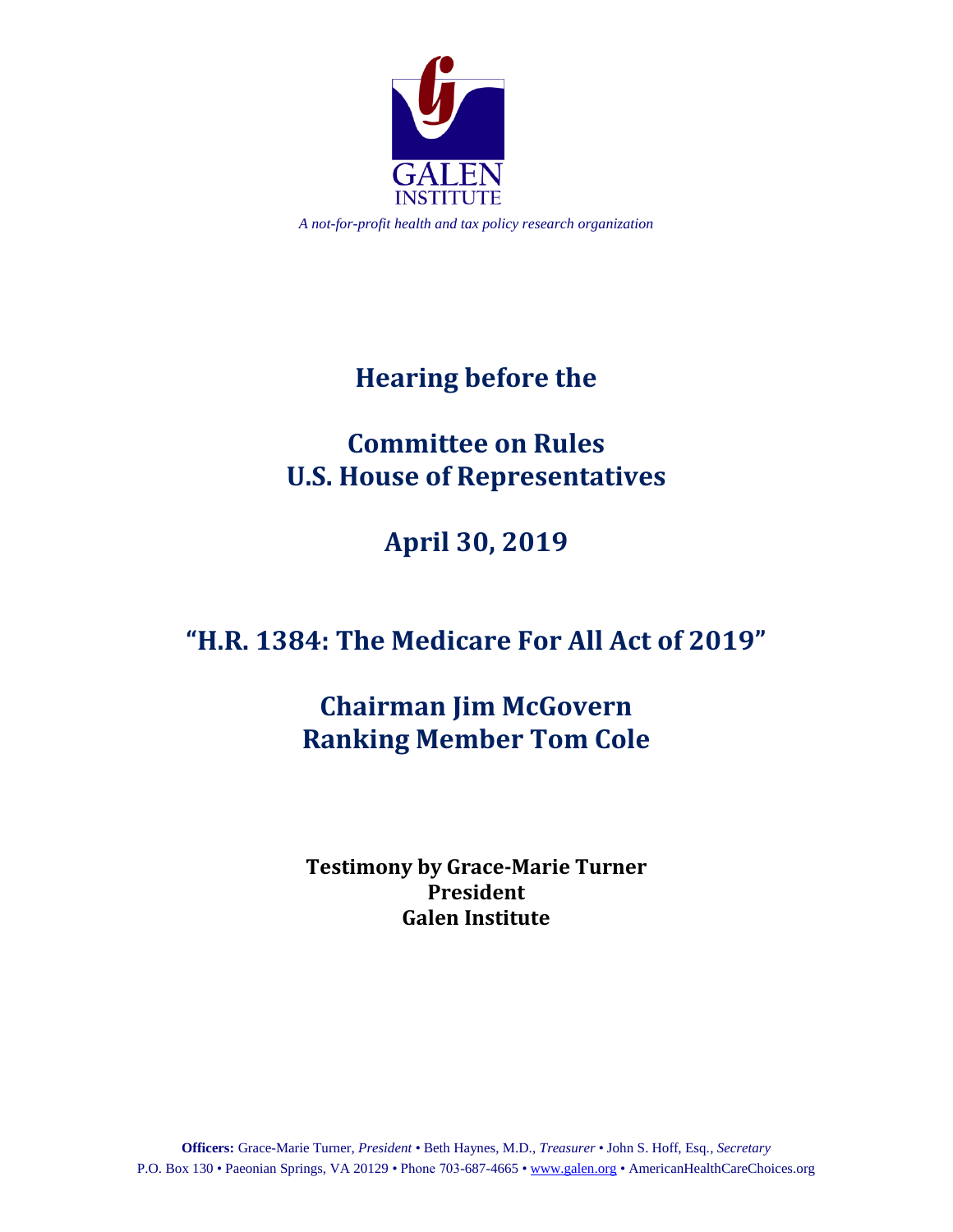

*A not-for-profit health and tax policy research organization*

# **Hearing before the**

# **Committee on Rules U.S. House of Representatives**

# **April 30, 2019**

# **"H.R. 1384: The Medicare For All Act of 2019"**

# **Chairman Jim McGovern Ranking Member Tom Cole**

**Testimony by Grace-Marie Turner President Galen Institute**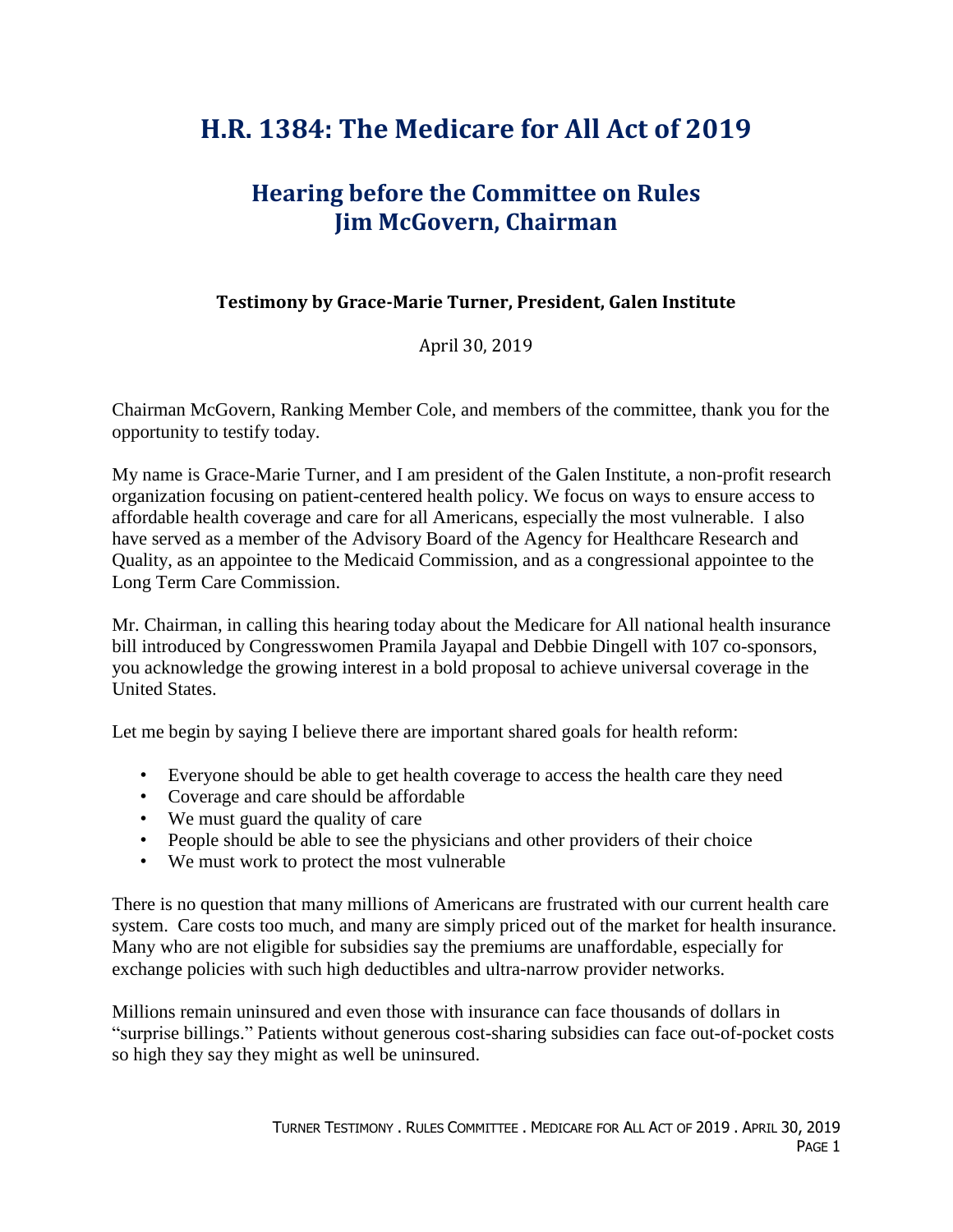# **H.R. 1384: The Medicare for All Act of 2019**

## **Hearing before the Committee on Rules Jim McGovern, Chairman**

#### **Testimony by Grace-Marie Turner, President, Galen Institute**

#### April 30, 2019

Chairman McGovern, Ranking Member Cole, and members of the committee, thank you for the opportunity to testify today.

My name is Grace-Marie Turner, and I am president of the Galen Institute, a non-profit research organization focusing on patient-centered health policy. We focus on ways to ensure access to affordable health coverage and care for all Americans, especially the most vulnerable. I also have served as a member of the Advisory Board of the Agency for Healthcare Research and Quality, as an appointee to the Medicaid Commission, and as a congressional appointee to the Long Term Care Commission.

Mr. Chairman, in calling this hearing today about the Medicare for All national health insurance bill introduced by Congresswomen Pramila Jayapal and Debbie Dingell with 107 co-sponsors, you acknowledge the growing interest in a bold proposal to achieve universal coverage in the United States.

Let me begin by saying I believe there are important shared goals for health reform:

- Everyone should be able to get health coverage to access the health care they need
- Coverage and care should be affordable
- We must guard the quality of care
- People should be able to see the physicians and other providers of their choice
- We must work to protect the most vulnerable

There is no question that many millions of Americans are frustrated with our current health care system. Care costs too much, and many are simply priced out of the market for health insurance. Many who are not eligible for subsidies say the premiums are unaffordable, especially for exchange policies with such high deductibles and ultra-narrow provider networks.

Millions remain uninsured and even those with insurance can face thousands of dollars in "surprise billings." Patients without generous cost-sharing subsidies can face out-of-pocket costs so high they say they might as well be uninsured.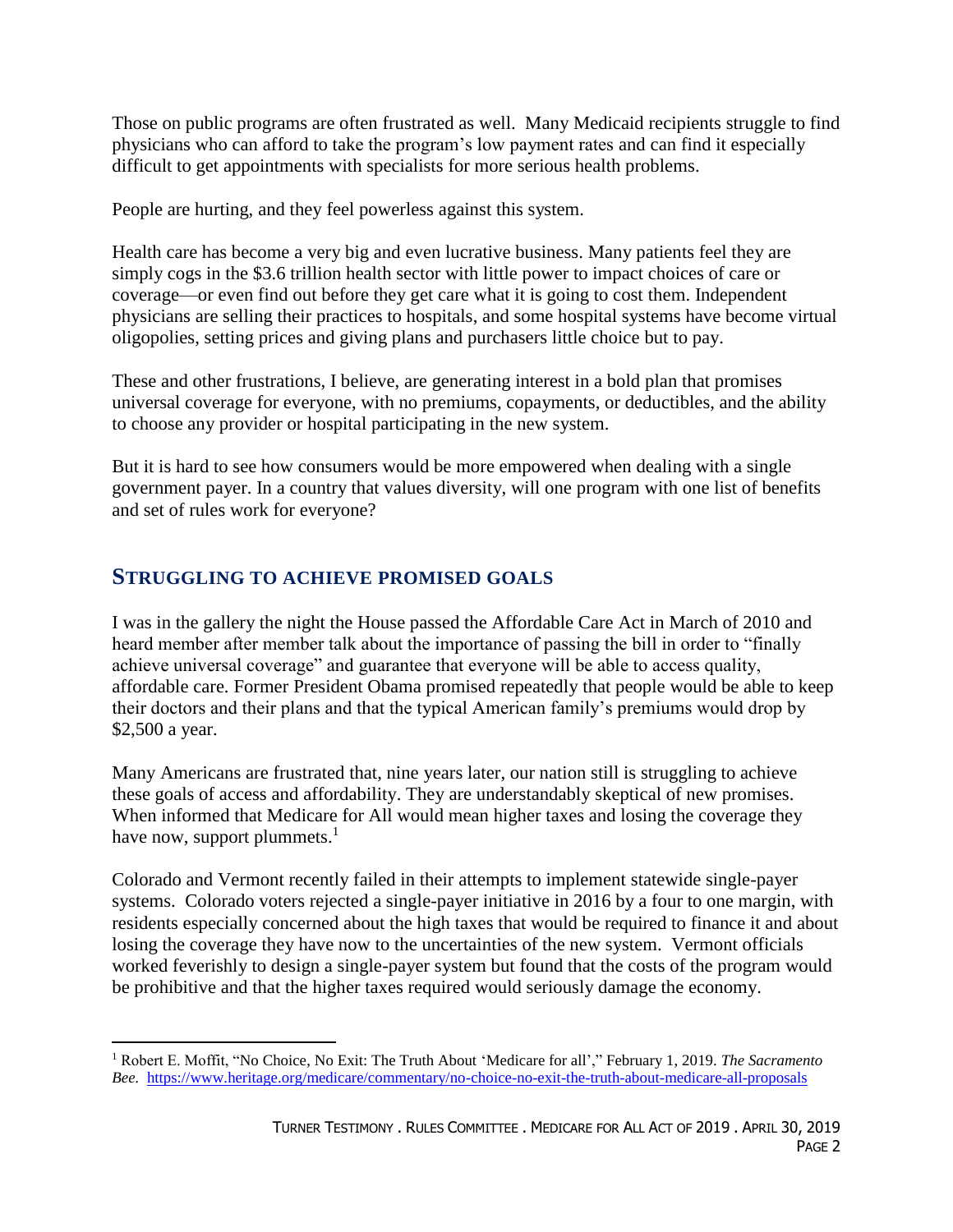Those on public programs are often frustrated as well. Many Medicaid recipients struggle to find physicians who can afford to take the program's low payment rates and can find it especially difficult to get appointments with specialists for more serious health problems.

People are hurting, and they feel powerless against this system.

Health care has become a very big and even lucrative business. Many patients feel they are simply cogs in the \$3.6 trillion health sector with little power to impact choices of care or coverage—or even find out before they get care what it is going to cost them. Independent physicians are selling their practices to hospitals, and some hospital systems have become virtual oligopolies, setting prices and giving plans and purchasers little choice but to pay.

These and other frustrations, I believe, are generating interest in a bold plan that promises universal coverage for everyone, with no premiums, copayments, or deductibles, and the ability to choose any provider or hospital participating in the new system.

But it is hard to see how consumers would be more empowered when dealing with a single government payer. In a country that values diversity, will one program with one list of benefits and set of rules work for everyone?

### **STRUGGLING TO ACHIEVE PROMISED GOALS**

 $\overline{a}$ 

I was in the gallery the night the House passed the Affordable Care Act in March of 2010 and heard member after member talk about the importance of passing the bill in order to "finally achieve universal coverage" and guarantee that everyone will be able to access quality, affordable care. Former President Obama promised repeatedly that people would be able to keep their doctors and their plans and that the typical American family's premiums would drop by \$2,500 a year.

Many Americans are frustrated that, nine years later, our nation still is struggling to achieve these goals of access and affordability. They are understandably skeptical of new promises. When informed that Medicare for All would mean higher taxes and losing the coverage they have now, support plummets. $<sup>1</sup>$ </sup>

Colorado and Vermont recently failed in their attempts to implement statewide single-payer systems. Colorado voters rejected a single-payer initiative in 2016 by a four to one margin, with residents especially concerned about the high taxes that would be required to finance it and about losing the coverage they have now to the uncertainties of the new system. Vermont officials worked feverishly to design a single-payer system but found that the costs of the program would be prohibitive and that the higher taxes required would seriously damage the economy.

<sup>1</sup> Robert E. Moffit, "No Choice, No Exit: The Truth About 'Medicare for all'," February 1, 2019. *The Sacramento Bee.* <https://www.heritage.org/medicare/commentary/no-choice-no-exit-the-truth-about-medicare-all-proposals>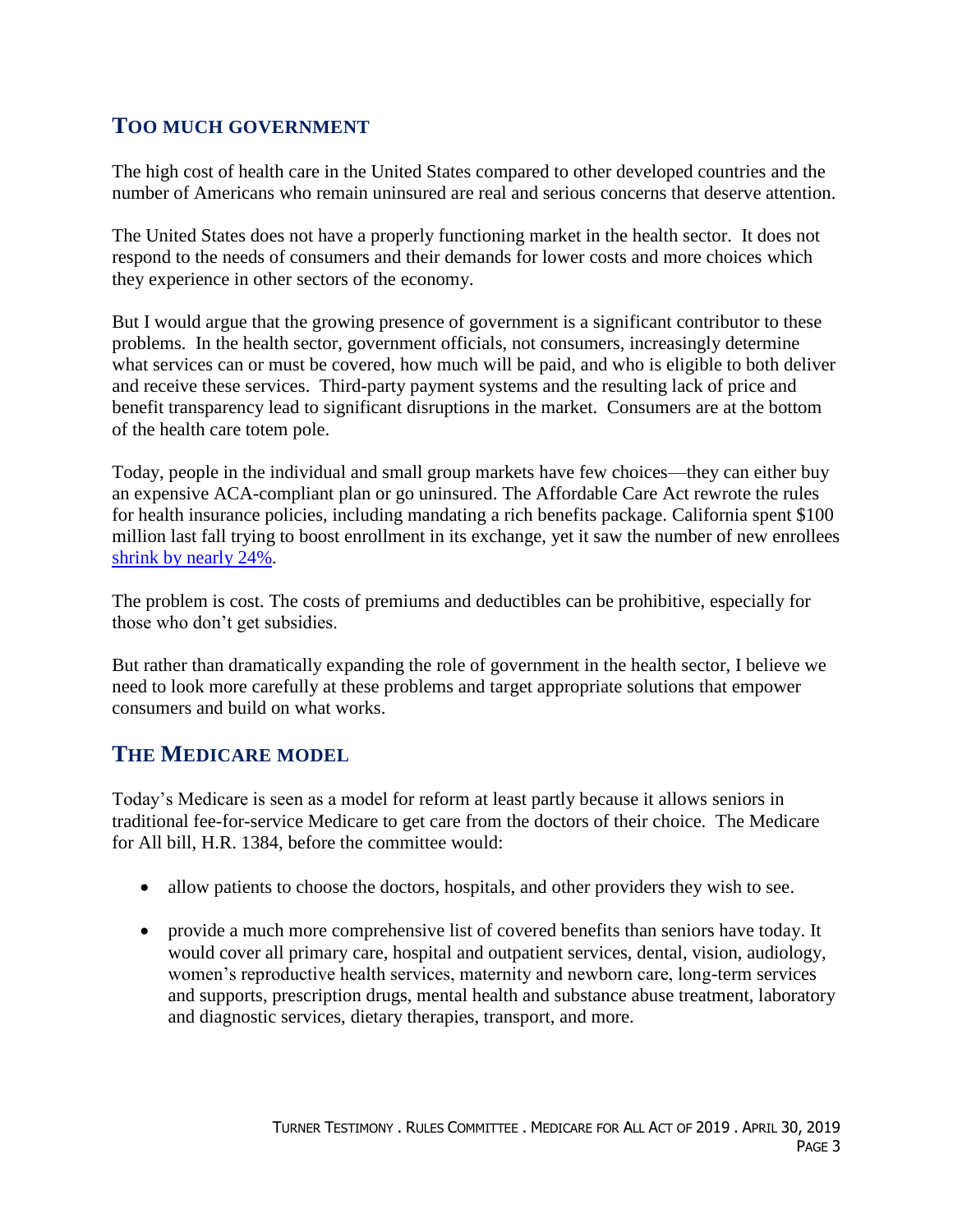### **TOO MUCH GOVERNMENT**

The high cost of health care in the United States compared to other developed countries and the number of Americans who remain uninsured are real and serious concerns that deserve attention.

The United States does not have a properly functioning market in the health sector. It does not respond to the needs of consumers and their demands for lower costs and more choices which they experience in other sectors of the economy.

But I would argue that the growing presence of government is a significant contributor to these problems. In the health sector, government officials, not consumers, increasingly determine what services can or must be covered, how much will be paid, and who is eligible to both deliver and receive these services. Third-party payment systems and the resulting lack of price and benefit transparency lead to significant disruptions in the market. Consumers are at the bottom of the health care totem pole.

Today, people in the individual and small group markets have few choices—they can either buy an expensive ACA-compliant plan or go uninsured. The Affordable Care Act rewrote the rules for health insurance policies, including mandating a rich benefits package. California spent \$100 million last fall trying to boost enrollment in its exchange, yet it saw the number of new enrollees [shrink by nearly 24%.](https://www.coveredca.com/newsroom/news-releases/2019/01/30/covered-california-plan-selections-remain-steady-at-1-5-million-but-a-significant-drop-in-new-consumers-signals-need-to-restore-penalty/)

The problem is cost. The costs of premiums and deductibles can be prohibitive, especially for those who don't get subsidies.

But rather than dramatically expanding the role of government in the health sector, I believe we need to look more carefully at these problems and target appropriate solutions that empower consumers and build on what works.

### **THE MEDICARE MODEL**

Today's Medicare is seen as a model for reform at least partly because it allows seniors in traditional fee-for-service Medicare to get care from the doctors of their choice. The Medicare for All bill, H.R. 1384, before the committee would:

- allow patients to choose the doctors, hospitals, and other providers they wish to see.
- provide a much more comprehensive list of covered benefits than seniors have today. It would cover all primary care, hospital and outpatient services, dental, vision, audiology, women's reproductive health services, maternity and newborn care, long-term services and supports, prescription drugs, mental health and substance abuse treatment, laboratory and diagnostic services, dietary therapies, transport, and more.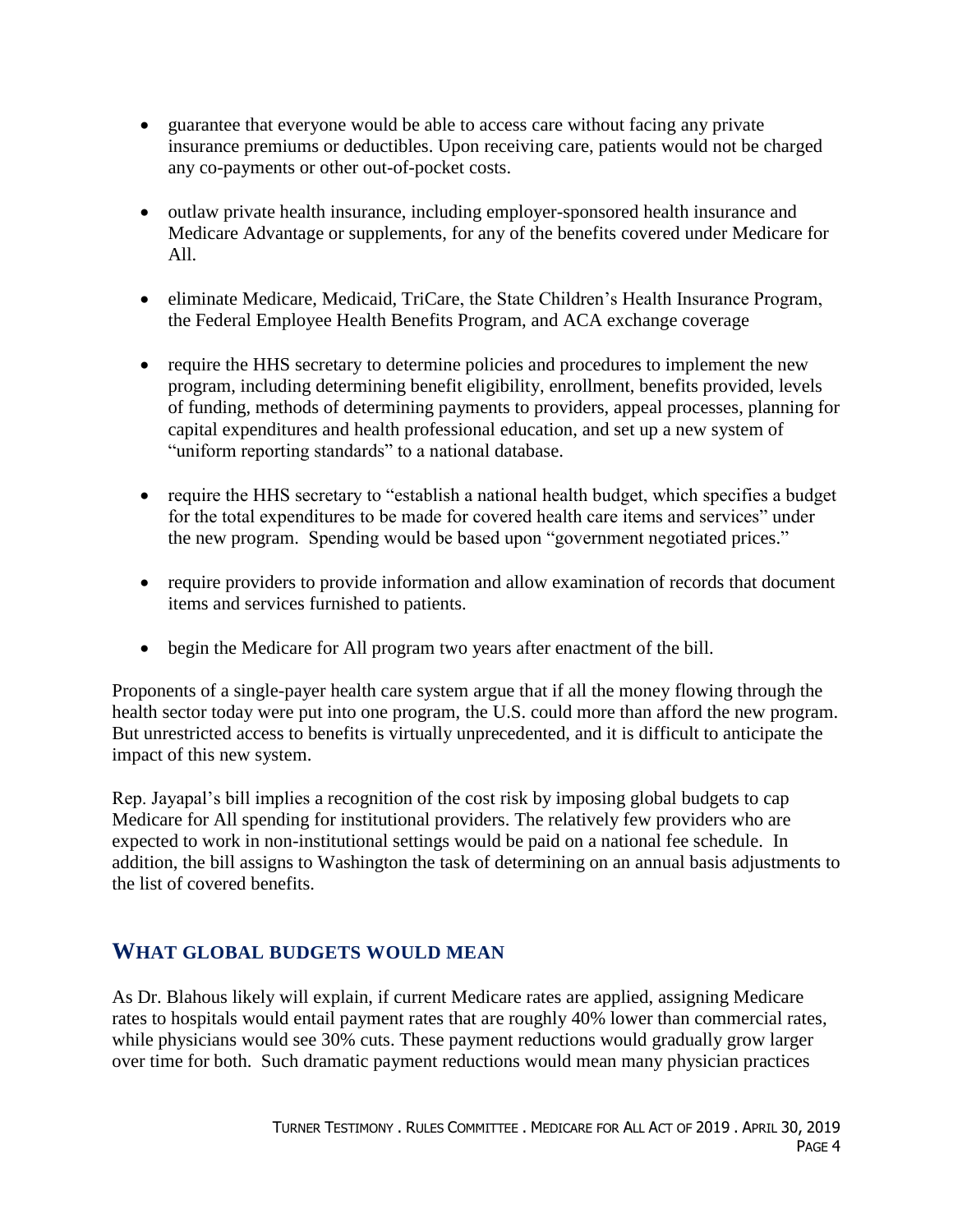- guarantee that everyone would be able to access care without facing any private insurance premiums or deductibles. Upon receiving care, patients would not be charged any co-payments or other out-of-pocket costs.
- outlaw private health insurance, including employer-sponsored health insurance and Medicare Advantage or supplements, for any of the benefits covered under Medicare for All.
- eliminate Medicare, Medicaid, TriCare, the State Children's Health Insurance Program, the Federal Employee Health Benefits Program, and ACA exchange coverage
- require the HHS secretary to determine policies and procedures to implement the new program, including determining benefit eligibility, enrollment, benefits provided, levels of funding, methods of determining payments to providers, appeal processes, planning for capital expenditures and health professional education, and set up a new system of "uniform reporting standards" to a national database.
- require the HHS secretary to "establish a national health budget, which specifies a budget for the total expenditures to be made for covered health care items and services" under the new program. Spending would be based upon "government negotiated prices."
- require providers to provide information and allow examination of records that document items and services furnished to patients.
- begin the Medicare for All program two years after enactment of the bill.

Proponents of a single-payer health care system argue that if all the money flowing through the health sector today were put into one program, the U.S. could more than afford the new program. But unrestricted access to benefits is virtually unprecedented, and it is difficult to anticipate the impact of this new system.

Rep. Jayapal's bill implies a recognition of the cost risk by imposing global budgets to cap Medicare for All spending for institutional providers. The relatively few providers who are expected to work in non-institutional settings would be paid on a national fee schedule. In addition, the bill assigns to Washington the task of determining on an annual basis adjustments to the list of covered benefits.

### **WHAT GLOBAL BUDGETS WOULD MEAN**

As Dr. Blahous likely will explain, if current Medicare rates are applied, assigning Medicare rates to hospitals would entail payment rates that are roughly 40% lower than commercial rates, while physicians would see 30% cuts. These payment reductions would gradually grow larger over time for both. Such dramatic payment reductions would mean many physician practices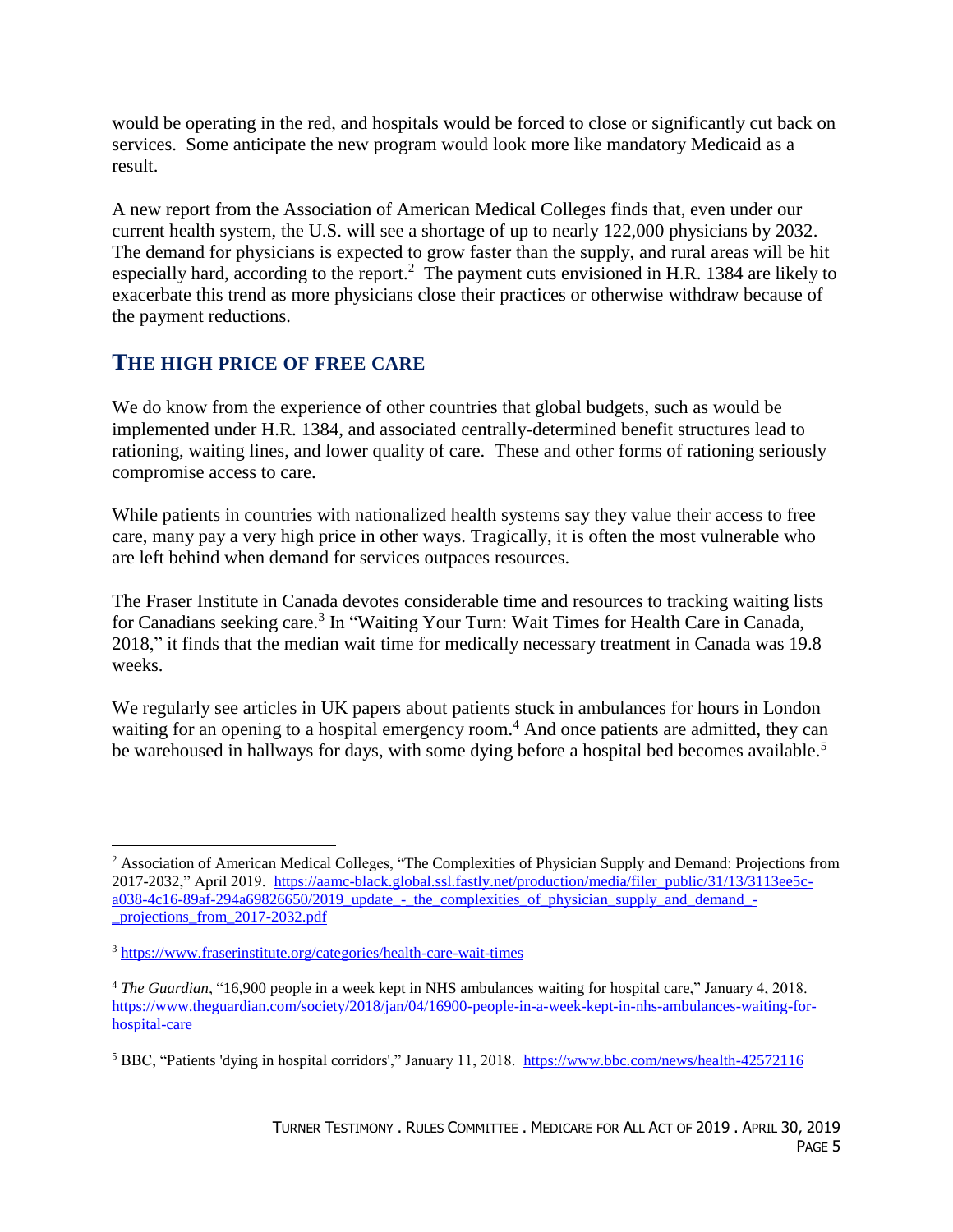would be operating in the red, and hospitals would be forced to close or significantly cut back on services. Some anticipate the new program would look more like mandatory Medicaid as a result.

A new report from the Association of American Medical Colleges finds that, even under our current health system, the U.S. will see a shortage of up to nearly 122,000 physicians by 2032. The demand for physicians is expected to grow faster than the supply, and rural areas will be hit especially hard, according to the report.<sup>2</sup> The payment cuts envisioned in H.R. 1384 are likely to exacerbate this trend as more physicians close their practices or otherwise withdraw because of the payment reductions.

### **THE HIGH PRICE OF FREE CARE**

We do know from the experience of other countries that global budgets, such as would be implemented under H.R. 1384, and associated centrally-determined benefit structures lead to rationing, waiting lines, and lower quality of care. These and other forms of rationing seriously compromise access to care.

While patients in countries with nationalized health systems say they value their access to free care, many pay a very high price in other ways. Tragically, it is often the most vulnerable who are left behind when demand for services outpaces resources.

The Fraser Institute in Canada devotes considerable time and resources to tracking waiting lists for Canadians seeking care.<sup>3</sup> In "Waiting Your Turn: Wait Times for Health Care in Canada, 2018," it finds that the median wait time for medically necessary treatment in Canada was 19.8 weeks.

We regularly see articles in UK papers about patients stuck in ambulances for hours in London waiting for an opening to a hospital emergency room.<sup>4</sup> And once patients are admitted, they can be warehoused in hallways for days, with some dying before a hospital bed becomes available.<sup>5</sup>

<sup>2</sup> Association of American Medical Colleges, "The Complexities of Physician Supply and Demand: Projections from 2017-2032," April 2019. [https://aamc-black.global.ssl.fastly.net/production/media/filer\\_public/31/13/3113ee5c](https://aamc-black.global.ssl.fastly.net/production/media/filer_public/31/13/3113ee5c-a038-4c16-89af-294a69826650/2019_update_-_the_complexities_of_physician_supply_and_demand_-_projections_from_2017-2032.pdf)[a038-4c16-89af-294a69826650/2019\\_update\\_-\\_the\\_complexities\\_of\\_physician\\_supply\\_and\\_demand\\_-](https://aamc-black.global.ssl.fastly.net/production/media/filer_public/31/13/3113ee5c-a038-4c16-89af-294a69826650/2019_update_-_the_complexities_of_physician_supply_and_demand_-_projections_from_2017-2032.pdf) [\\_projections\\_from\\_2017-2032.pdf](https://aamc-black.global.ssl.fastly.net/production/media/filer_public/31/13/3113ee5c-a038-4c16-89af-294a69826650/2019_update_-_the_complexities_of_physician_supply_and_demand_-_projections_from_2017-2032.pdf)

<sup>3</sup> <https://www.fraserinstitute.org/categories/health-care-wait-times>

<sup>4</sup> *The Guardian*, "16,900 people in a week kept in NHS ambulances waiting for hospital care," January 4, 2018. [https://www.theguardian.com/society/2018/jan/04/16900-people-in-a-week-kept-in-nhs-ambulances-waiting-for](https://www.theguardian.com/society/2018/jan/04/16900-people-in-a-week-kept-in-nhs-ambulances-waiting-for-hospital-care)[hospital-care](https://www.theguardian.com/society/2018/jan/04/16900-people-in-a-week-kept-in-nhs-ambulances-waiting-for-hospital-care)

<sup>5</sup> BBC, "Patients 'dying in hospital corridors'," January 11, 2018. <https://www.bbc.com/news/health-42572116>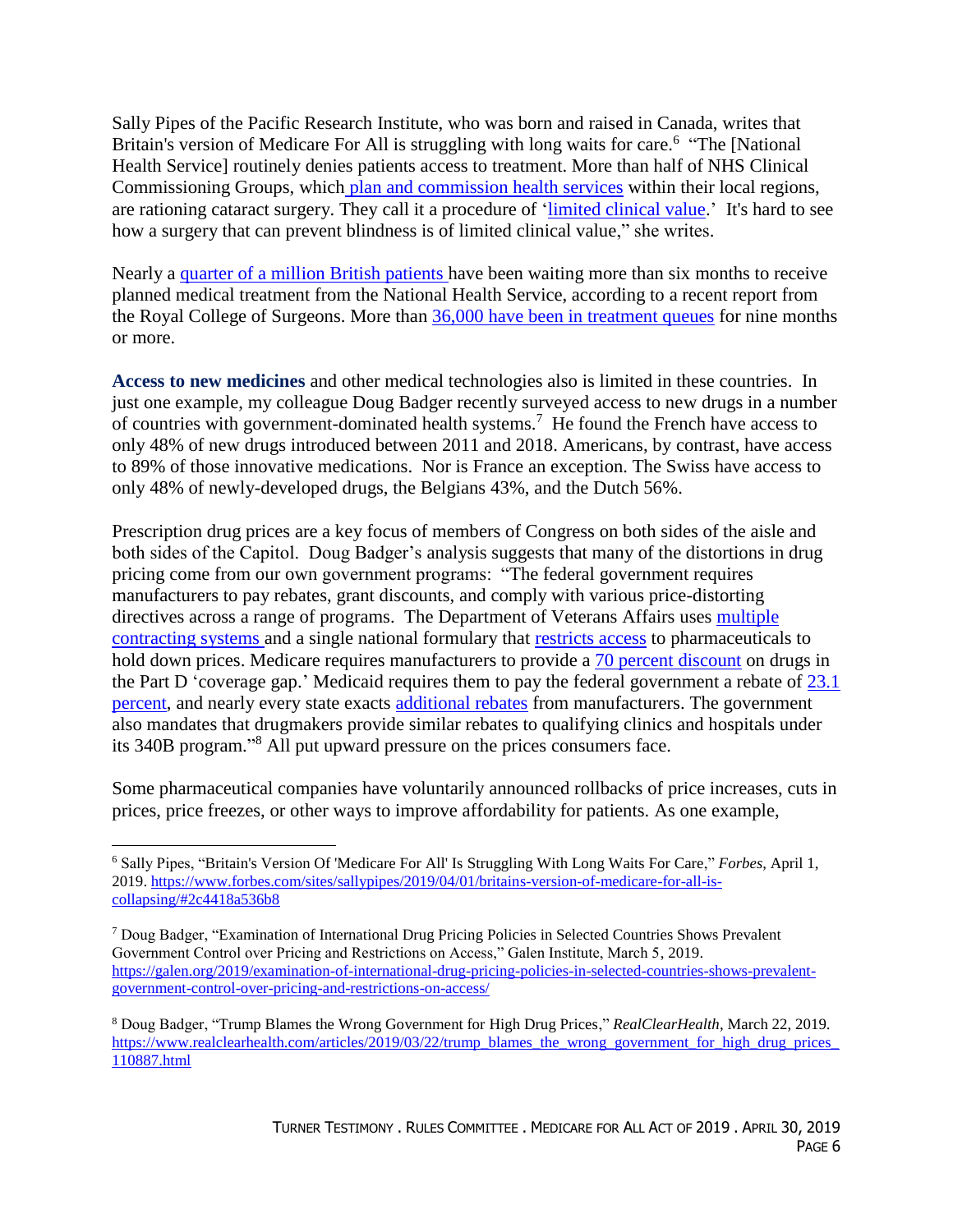Sally Pipes of the Pacific Research Institute, who was born and raised in Canada, writes that Britain's version of Medicare For All is struggling with long waits for care.<sup>6</sup> "The [National Health Service] routinely denies patients access to treatment. More than half of NHS Clinical Commissioning Groups, which [plan and commission health services](https://www.nhscc.org/ccgs/) within their local regions, are rationing cataract surgery. They call it a procedure of ['limited clinical value.](https://www.opticianonline.net/news/ccgs-restrict-cataract-surgery-in-nhs-england-1)' It's hard to see how a surgery that can prevent blindness is of limited clinical value," she writes.

Nearly a [quarter of a million British patients](https://www.rcseng.ac.uk/news-and-events/media-centre/press-releases/nhs-stats-march-2019/) have been waiting more than six months to receive planned medical treatment from the National Health Service, according to a recent report from the Royal College of Surgeons. More than [36,000 have been in treatment queues](https://www.rcseng.ac.uk/news-and-events/media-centre/press-releases/nhs-stats-march-2019/) for nine months or more.

**Access to new medicines** and other medical technologies also is limited in these countries. In just one example, my colleague Doug Badger recently surveyed access to new drugs in a number of countries with government-dominated health systems.<sup>7</sup> He found the French have access to only 48% of new drugs introduced between 2011 and 2018. Americans, by contrast, have access to 89% of those innovative medications. Nor is France an exception. The Swiss have access to only 48% of newly-developed drugs, the Belgians 43%, and the Dutch 56%.

Prescription drug prices are a key focus of members of Congress on both sides of the aisle and both sides of the Capitol. Doug Badger's analysis suggests that many of the distortions in drug pricing come from our own government programs: "The federal government requires manufacturers to pay rebates, grant discounts, and comply with various price-distorting directives across a range of programs. The Department of Veterans Affairs uses [multiple](https://fas.org/sgp/crs/misc/R44832.pdf)  [contracting systems](https://fas.org/sgp/crs/misc/R44832.pdf) and a single national formulary that [restricts access](https://www.heritage.org/health-care-reform/report/the-va-drug-pricing-model-what-senators-should-know) to pharmaceuticals to hold down prices. Medicare requires manufacturers to provide a [70 percent discount](https://www.medicare.gov/drug-coverage-part-d/costs-for-medicare-drug-coverage/costs-in-the-coverage-gap) on drugs in the Part D 'coverage gap.' Medicaid requires them to pay the federal government a rebate of  $23.1$ [percent,](https://www.medicaid.gov/medicaid/prescription-drugs/medicaid-drug-rebate-program/index.html) and nearly every state exacts [additional rebates](https://www.medicaid.gov/medicaid-chip-program-information/by-topics/prescription-drugs/downloads/xxxsupplemental-rebates-chart-current-qtr.pdf) from manufacturers. The government also mandates that drugmakers provide similar rebates to qualifying clinics and hospitals under its 340B program." <sup>8</sup> All put upward pressure on the prices consumers face.

Some pharmaceutical companies have voluntarily announced rollbacks of price increases, cuts in prices, price freezes, or other ways to improve affordability for patients. As one example,

<sup>6</sup> Sally Pipes, "Britain's Version Of 'Medicare For All' Is Struggling With Long Waits For Care," *Forbes*, April 1, 2019. [https://www.forbes.com/sites/sallypipes/2019/04/01/britains-version-of-medicare-for-all-is-](https://www.forbes.com/sites/sallypipes/2019/04/01/britains-version-of-medicare-for-all-is-collapsing/#2c4418a536b8) $\text{collapsing}/\text{#2c4418a536b8}$ 

<sup>7</sup> Doug Badger, "Examination of International Drug Pricing Policies in Selected Countries Shows Prevalent Government Control over Pricing and Restrictions on Access," Galen Institute, March 5, 2019. [https://galen.org/2019/examination-of-international-drug-pricing-policies-in-selected-countries-shows-prevalent](https://galen.org/2019/examination-of-international-drug-pricing-policies-in-selected-countries-shows-prevalent-government-control-over-pricing-and-restrictions-on-access/)[government-control-over-pricing-and-restrictions-on-access/](https://galen.org/2019/examination-of-international-drug-pricing-policies-in-selected-countries-shows-prevalent-government-control-over-pricing-and-restrictions-on-access/)

<sup>8</sup> Doug Badger, "Trump Blames the Wrong Government for High Drug Prices," *RealClearHealth*, March 22, 2019. https://www.realclearhealth.com/articles/2019/03/22/trump\_blames\_the\_wrong\_government\_for\_high\_drug\_prices [110887.html](https://www.realclearhealth.com/articles/2019/03/22/trump_blames_the_wrong_government_for_high_drug_prices_110887.html)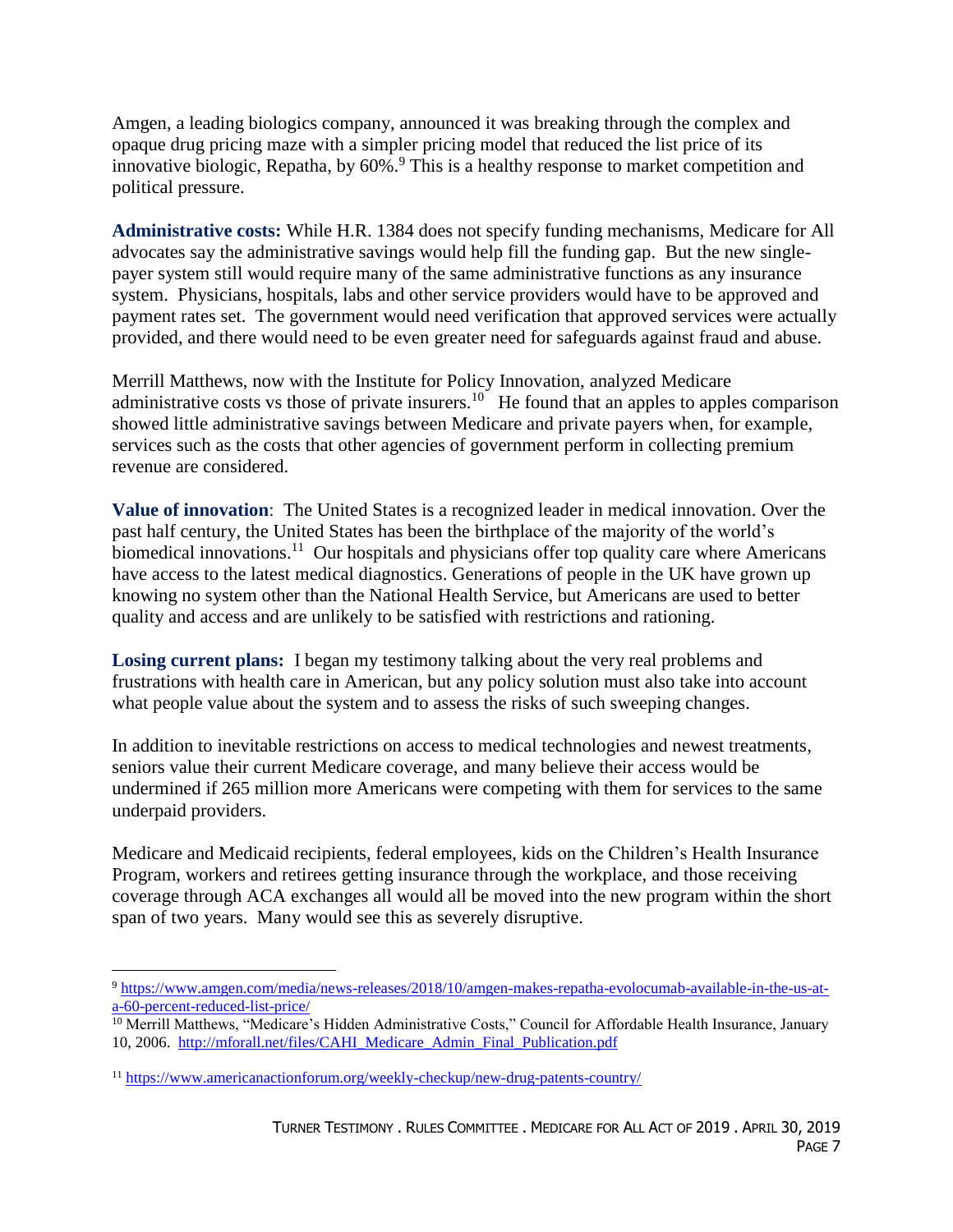Amgen, a leading biologics company, announced it was breaking through the complex and opaque drug pricing maze with a simpler pricing model that reduced the list price of its innovative biologic, Repatha, by 60%. <sup>9</sup> This is a healthy response to market competition and political pressure.

**Administrative costs:** While H.R. 1384 does not specify funding mechanisms, Medicare for All advocates say the administrative savings would help fill the funding gap. But the new singlepayer system still would require many of the same administrative functions as any insurance system. Physicians, hospitals, labs and other service providers would have to be approved and payment rates set. The government would need verification that approved services were actually provided, and there would need to be even greater need for safeguards against fraud and abuse.

Merrill Matthews, now with the Institute for Policy Innovation, analyzed Medicare administrative costs vs those of private insurers.<sup>10</sup> He found that an apples to apples comparison showed little administrative savings between Medicare and private payers when, for example, services such as the costs that other agencies of government perform in collecting premium revenue are considered.

**Value of innovation**: The United States is a recognized leader in medical innovation. Over the past half century, the United States has been the birthplace of the majority of the world's biomedical innovations.<sup>11</sup> Our hospitals and physicians offer top quality care where Americans have access to the latest medical diagnostics. Generations of people in the UK have grown up knowing no system other than the National Health Service, but Americans are used to better quality and access and are unlikely to be satisfied with restrictions and rationing.

**Losing current plans:** I began my testimony talking about the very real problems and frustrations with health care in American, but any policy solution must also take into account what people value about the system and to assess the risks of such sweeping changes.

In addition to inevitable restrictions on access to medical technologies and newest treatments, seniors value their current Medicare coverage, and many believe their access would be undermined if 265 million more Americans were competing with them for services to the same underpaid providers.

Medicare and Medicaid recipients, federal employees, kids on the Children's Health Insurance Program, workers and retirees getting insurance through the workplace, and those receiving coverage through ACA exchanges all would all be moved into the new program within the short span of two years. Many would see this as severely disruptive.

<sup>9</sup> [https://www.amgen.com/media/news-releases/2018/10/amgen-makes-repatha-evolocumab-available-in-the-us-at](https://www.amgen.com/media/news-releases/2018/10/amgen-makes-repatha-evolocumab-available-in-the-us-at-a-60-percent-reduced-list-price/)[a-60-percent-reduced-list-price/](https://www.amgen.com/media/news-releases/2018/10/amgen-makes-repatha-evolocumab-available-in-the-us-at-a-60-percent-reduced-list-price/)

<sup>&</sup>lt;sup>10</sup> Merrill Matthews, "Medicare's Hidden Administrative Costs," Council for Affordable Health Insurance, January 10, 2006. [http://mforall.net/files/CAHI\\_Medicare\\_Admin\\_Final\\_Publication.pdf](http://mforall.net/files/CAHI_Medicare_Admin_Final_Publication.pdf)

<sup>11</sup> <https://www.americanactionforum.org/weekly-checkup/new-drug-patents-country/>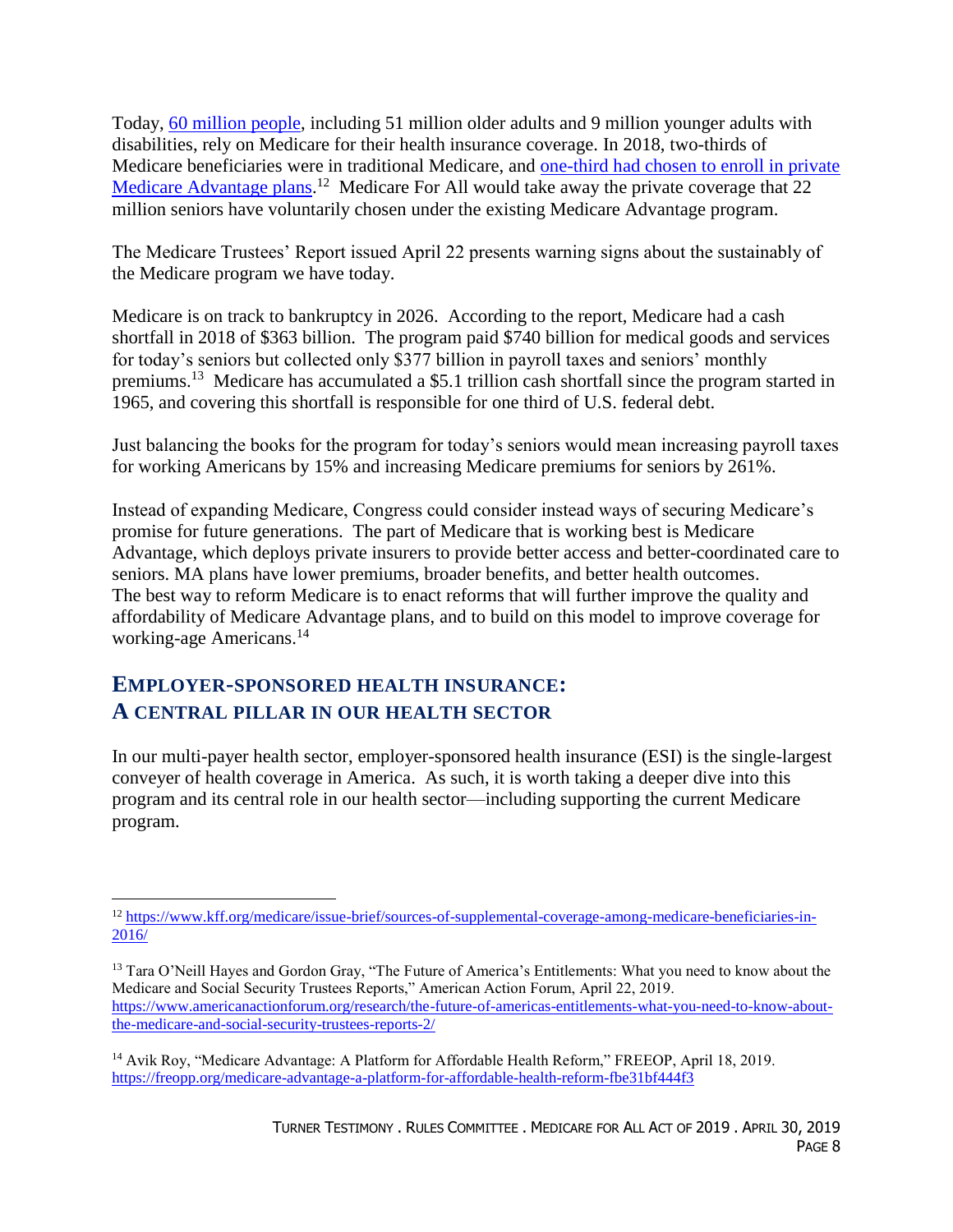Today, [60 million people,](https://www.hhs.gov/sites/default/files/fy-2019-budget-in-brief.pdf) including 51 million older adults and 9 million younger adults with disabilities, rely on Medicare for their health insurance coverage. In 2018, two-thirds of Medicare beneficiaries were in traditional Medicare, and [one-third had chosen to enroll in private](https://www.kff.org/medicare/issue-brief/a-dozen-facts-about-medicare-advantage/)  [Medicare Advantage plans.](https://www.kff.org/medicare/issue-brief/a-dozen-facts-about-medicare-advantage/)<sup>12</sup> Medicare For All would take away the private coverage that 22 million seniors have voluntarily chosen under the existing Medicare Advantage program.

The Medicare Trustees' Report issued April 22 presents warning signs about the sustainably of the Medicare program we have today.

Medicare is on track to bankruptcy in 2026. According to the report, Medicare had a cash shortfall in 2018 of \$363 billion. The program paid \$740 billion for medical goods and services for today's seniors but collected only \$377 billion in payroll taxes and seniors' monthly premiums.<sup>13</sup> Medicare has accumulated a \$5.1 trillion cash shortfall since the program started in 1965, and covering this shortfall is responsible for one third of U.S. federal debt.

Just balancing the books for the program for today's seniors would mean increasing payroll taxes for working Americans by 15% and increasing Medicare premiums for seniors by 261%.

Instead of expanding Medicare, Congress could consider instead ways of securing Medicare's promise for future generations. The part of Medicare that is working best is Medicare Advantage, which deploys private insurers to provide better access and better-coordinated care to seniors. MA plans have lower premiums, broader benefits, and better health outcomes. The best way to reform Medicare is to enact reforms that will further improve the quality and affordability of Medicare Advantage plans, and to build on this model to improve coverage for working-age Americans. 14

### **EMPLOYER-SPONSORED HEALTH INSURANCE: A CENTRAL PILLAR IN OUR HEALTH SECTOR**

 $\overline{a}$ 

In our multi-payer health sector, employer-sponsored health insurance (ESI) is the single-largest conveyer of health coverage in America. As such, it is worth taking a deeper dive into this program and its central role in our health sector—including supporting the current Medicare program.

<sup>12</sup> [https://www.kff.org/medicare/issue-brief/sources-of-supplemental-coverage-among-medicare-beneficiaries-in-](https://www.kff.org/medicare/issue-brief/sources-of-supplemental-coverage-among-medicare-beneficiaries-in-2016/)[2016/](https://www.kff.org/medicare/issue-brief/sources-of-supplemental-coverage-among-medicare-beneficiaries-in-2016/)

<sup>&</sup>lt;sup>13</sup> Tara O'Neill Hayes and Gordon Gray, "The Future of America's Entitlements: What you need to know about the Medicare and Social Security Trustees Reports," American Action Forum, April 22, 2019. [https://www.americanactionforum.org/research/the-future-of-americas-entitlements-what-you-need-to-know-about](https://www.americanactionforum.org/research/the-future-of-americas-entitlements-what-you-need-to-know-about-the-medicare-and-social-security-trustees-reports-2/)[the-medicare-and-social-security-trustees-reports-2/](https://www.americanactionforum.org/research/the-future-of-americas-entitlements-what-you-need-to-know-about-the-medicare-and-social-security-trustees-reports-2/)

<sup>&</sup>lt;sup>14</sup> Avik Roy, "Medicare Advantage: A Platform for Affordable Health Reform," FREEOP, April 18, 2019. <https://freopp.org/medicare-advantage-a-platform-for-affordable-health-reform-fbe31bf444f3>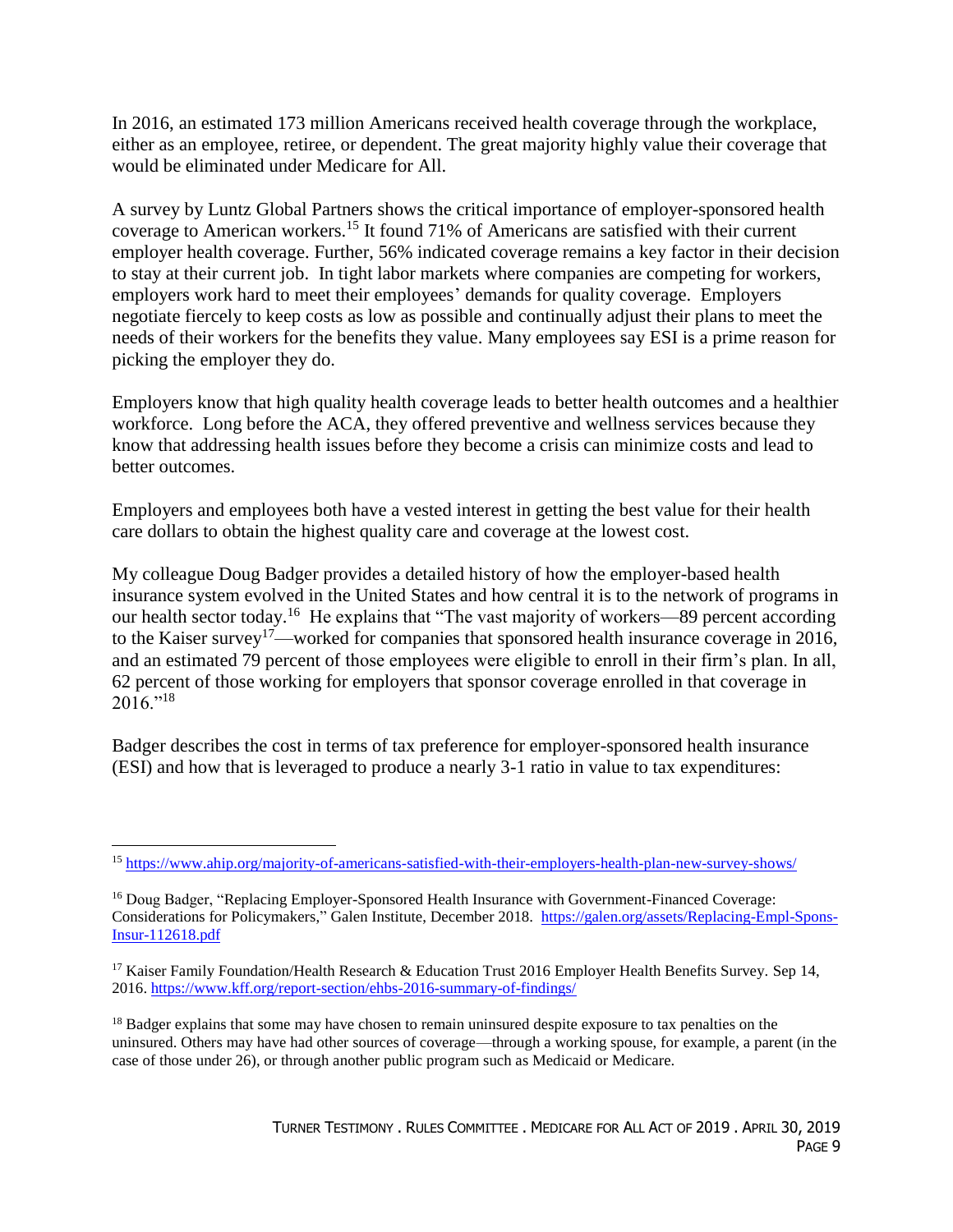In 2016, an estimated 173 million Americans received health coverage through the workplace, either as an employee, retiree, or dependent. The great majority highly value their coverage that would be eliminated under Medicare for All.

A survey by Luntz Global Partners shows the critical importance of employer-sponsored health coverage to American workers.<sup>15</sup> It found 71% of Americans are satisfied with their current employer health coverage. Further, 56% indicated coverage remains a key factor in their decision to stay at their current job. In tight labor markets where companies are competing for workers, employers work hard to meet their employees' demands for quality coverage. Employers negotiate fiercely to keep costs as low as possible and continually adjust their plans to meet the needs of their workers for the benefits they value. Many employees say ESI is a prime reason for picking the employer they do.

Employers know that high quality health coverage leads to better health outcomes and a healthier workforce. Long before the ACA, they offered preventive and wellness services because they know that addressing health issues before they become a crisis can minimize costs and lead to better outcomes.

Employers and employees both have a vested interest in getting the best value for their health care dollars to obtain the highest quality care and coverage at the lowest cost.

My colleague Doug Badger provides a detailed history of how the employer-based health insurance system evolved in the United States and how central it is to the network of programs in our health sector today.<sup>16</sup> He explains that "The vast majority of workers—89 percent according to the Kaiser survey<sup>17</sup>—worked for companies that sponsored health insurance coverage in 2016, and an estimated 79 percent of those employees were eligible to enroll in their firm's plan. In all, 62 percent of those working for employers that sponsor coverage enrolled in that coverage in  $2016.^{18}$ 

Badger describes the cost in terms of tax preference for employer-sponsored health insurance (ESI) and how that is leveraged to produce a nearly 3-1 ratio in value to tax expenditures:

 $\overline{a}$ <sup>15</sup> <https://www.ahip.org/majority-of-americans-satisfied-with-their-employers-health-plan-new-survey-shows/>

<sup>16</sup> Doug Badger, "Replacing Employer-Sponsored Health Insurance with Government-Financed Coverage: Considerations for Policymakers," Galen Institute, December 2018. [https://galen.org/assets/Replacing-Empl-Spons-](https://galen.org/assets/Replacing-Empl-Spons-Insur-112618.pdf)[Insur-112618.pdf](https://galen.org/assets/Replacing-Empl-Spons-Insur-112618.pdf)

<sup>&</sup>lt;sup>17</sup> Kaiser Family Foundation/Health Research & Education Trust 2016 Employer Health Benefits Survey. Sep 14, 2016.<https://www.kff.org/report-section/ehbs-2016-summary-of-findings/>

<sup>&</sup>lt;sup>18</sup> Badger explains that some may have chosen to remain uninsured despite exposure to tax penalties on the uninsured. Others may have had other sources of coverage—through a working spouse, for example, a parent (in the case of those under 26), or through another public program such as Medicaid or Medicare.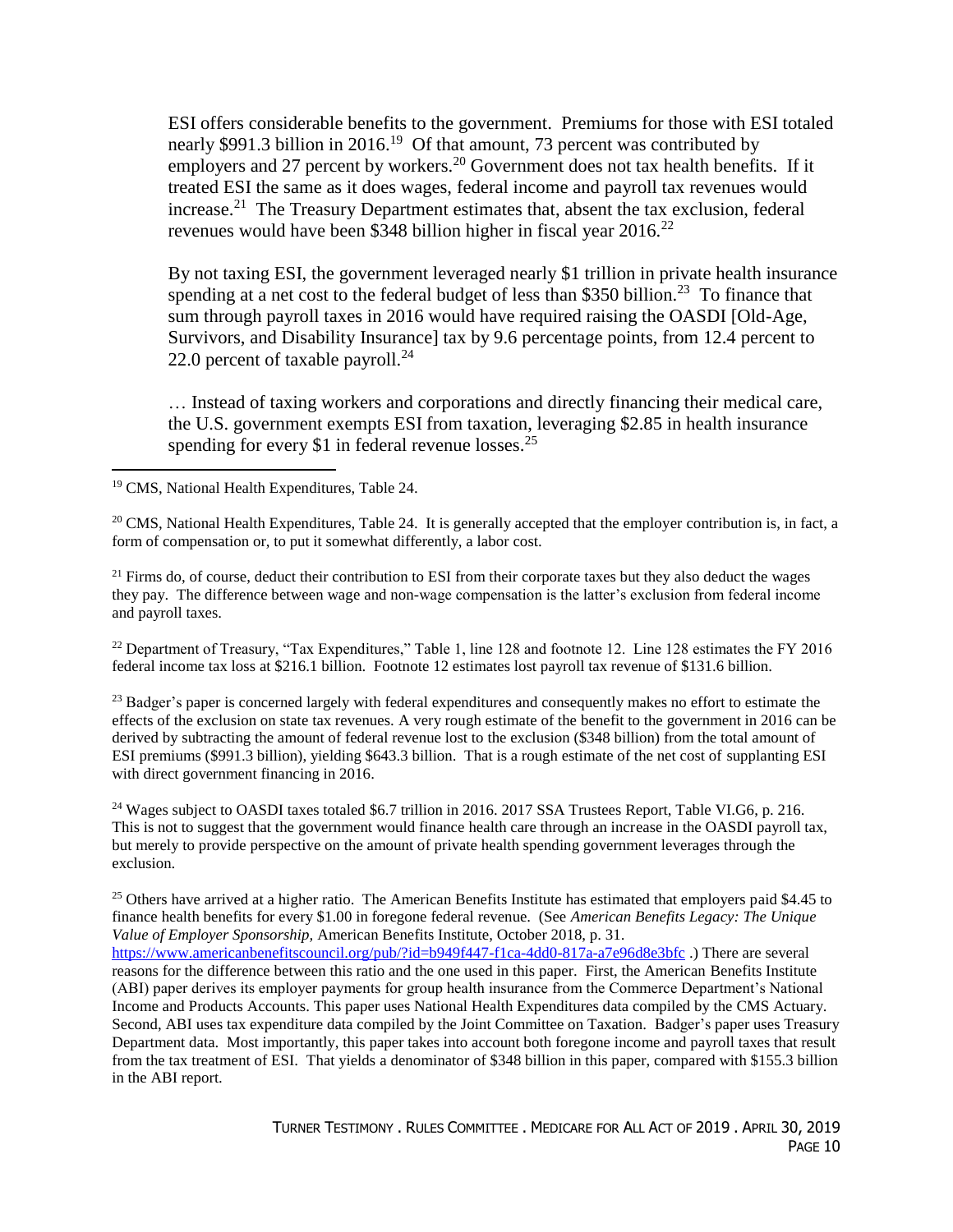ESI offers considerable benefits to the government. Premiums for those with ESI totaled nearly \$991.3 billion in 2016.<sup>19</sup> Of that amount, 73 percent was contributed by employers and 27 percent by workers.<sup>20</sup> Government does not tax health benefits. If it treated ESI the same as it does wages, federal income and payroll tax revenues would increase.<sup>21</sup> The Treasury Department estimates that, absent the tax exclusion, federal revenues would have been \$348 billion higher in fiscal year  $2016$ .<sup>22</sup>

By not taxing ESI, the government leveraged nearly \$1 trillion in private health insurance spending at a net cost to the federal budget of less than \$350 billion.<sup>23</sup> To finance that sum through payroll taxes in 2016 would have required raising the OASDI [Old-Age, Survivors, and Disability Insurance] tax by 9.6 percentage points, from 12.4 percent to 22.0 percent of taxable payroll. $^{24}$ 

… Instead of taxing workers and corporations and directly financing their medical care, the U.S. government exempts ESI from taxation, leveraging \$2.85 in health insurance spending for every \$1 in federal revenue losses.<sup>25</sup>

<sup>19</sup> CMS, National Health Expenditures, Table 24.

 $\overline{a}$ 

 $20$  CMS, National Health Expenditures, Table 24. It is generally accepted that the employer contribution is, in fact, a form of compensation or, to put it somewhat differently, a labor cost.

 $21$  Firms do, of course, deduct their contribution to ESI from their corporate taxes but they also deduct the wages they pay. The difference between wage and non-wage compensation is the latter's exclusion from federal income and payroll taxes.

<sup>22</sup> Department of Treasury, "Tax Expenditures," Table 1, line 128 and footnote 12. Line 128 estimates the FY 2016 federal income tax loss at \$216.1 billion. Footnote 12 estimates lost payroll tax revenue of \$131.6 billion.

<sup>23</sup> Badger's paper is concerned largely with federal expenditures and consequently makes no effort to estimate the effects of the exclusion on state tax revenues. A very rough estimate of the benefit to the government in 2016 can be derived by subtracting the amount of federal revenue lost to the exclusion (\$348 billion) from the total amount of ESI premiums (\$991.3 billion), yielding \$643.3 billion. That is a rough estimate of the net cost of supplanting ESI with direct government financing in 2016.

<sup>24</sup> Wages subject to OASDI taxes totaled \$6.7 trillion in 2016. 2017 SSA Trustees Report, Table VI.G6, p. 216. This is not to suggest that the government would finance health care through an increase in the OASDI payroll tax, but merely to provide perspective on the amount of private health spending government leverages through the exclusion.

<sup>25</sup> Others have arrived at a higher ratio. The American Benefits Institute has estimated that employers paid \$4.45 to finance health benefits for every \$1.00 in foregone federal revenue. (See *American Benefits Legacy: The Unique Value of Employer Sponsorship,* American Benefits Institute, October 2018, p. 31. <https://www.americanbenefitscouncil.org/pub/?id=b949f447-f1ca-4dd0-817a-a7e96d8e3bfc> .) There are several reasons for the difference between this ratio and the one used in this paper. First, the American Benefits Institute (ABI) paper derives its employer payments for group health insurance from the Commerce Department's National Income and Products Accounts. This paper uses National Health Expenditures data compiled by the CMS Actuary. Second, ABI uses tax expenditure data compiled by the Joint Committee on Taxation. Badger's paper uses Treasury Department data. Most importantly, this paper takes into account both foregone income and payroll taxes that result from the tax treatment of ESI. That yields a denominator of \$348 billion in this paper, compared with \$155.3 billion in the ABI report.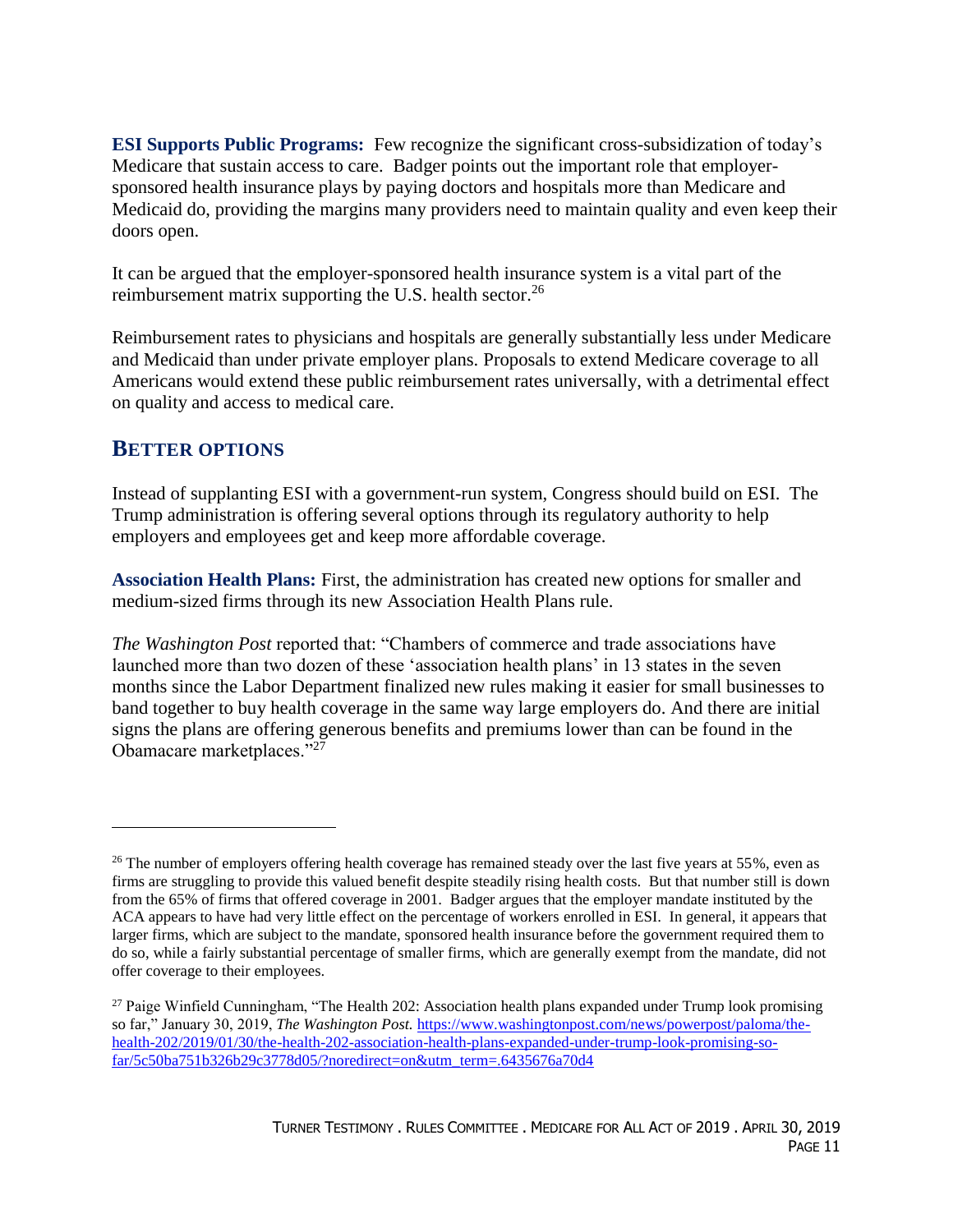**ESI Supports Public Programs:** Few recognize the significant cross-subsidization of today's Medicare that sustain access to care. Badger points out the important role that employersponsored health insurance plays by paying doctors and hospitals more than Medicare and Medicaid do, providing the margins many providers need to maintain quality and even keep their doors open.

It can be argued that the employer-sponsored health insurance system is a vital part of the reimbursement matrix supporting the U.S. health sector.<sup>26</sup>

Reimbursement rates to physicians and hospitals are generally substantially less under Medicare and Medicaid than under private employer plans. Proposals to extend Medicare coverage to all Americans would extend these public reimbursement rates universally, with a detrimental effect on quality and access to medical care.

#### **BETTER OPTIONS**

 $\overline{a}$ 

Instead of supplanting ESI with a government-run system, Congress should build on ESI. The Trump administration is offering several options through its regulatory authority to help employers and employees get and keep more affordable coverage.

**Association Health Plans:** First, the administration has created new options for smaller and medium-sized firms through its new Association Health Plans rule.

*The Washington Post* reported that: "Chambers of commerce and trade associations have launched more than two dozen of these 'association health plans' in 13 states in the seven months since the Labor Department finalized new rules making it easier for small businesses to band together to buy health coverage in the same way large employers do. And there are initial signs the plans are offering generous benefits and premiums lower than can be found in the Obamacare marketplaces."<sup>27</sup>

<sup>&</sup>lt;sup>26</sup> The number of employers offering health coverage has remained steady over the last five years at 55%, even as firms are struggling to provide this valued benefit despite steadily rising health costs. But that number still is down from the 65% of firms that offered coverage in 2001. Badger argues that the employer mandate instituted by the ACA appears to have had very little effect on the percentage of workers enrolled in ESI. In general, it appears that larger firms, which are subject to the mandate, sponsored health insurance before the government required them to do so, while a fairly substantial percentage of smaller firms, which are generally exempt from the mandate, did not offer coverage to their employees.

<sup>&</sup>lt;sup>27</sup> Paige Winfield Cunningham, "The Health 202: Association health plans expanded under Trump look promising so far," January 30, 2019, *The Washington Post.* [https://www.washingtonpost.com/news/powerpost/paloma/the](https://www.washingtonpost.com/news/powerpost/paloma/the-health-202/2019/01/30/the-health-202-association-health-plans-expanded-under-trump-look-promising-so-far/5c50ba751b326b29c3778d05/?noredirect=on&utm_term=.6435676a70d4)[health-202/2019/01/30/the-health-202-association-health-plans-expanded-under-trump-look-promising-so](https://www.washingtonpost.com/news/powerpost/paloma/the-health-202/2019/01/30/the-health-202-association-health-plans-expanded-under-trump-look-promising-so-far/5c50ba751b326b29c3778d05/?noredirect=on&utm_term=.6435676a70d4)[far/5c50ba751b326b29c3778d05/?noredirect=on&utm\\_term=.6435676a70d4](https://www.washingtonpost.com/news/powerpost/paloma/the-health-202/2019/01/30/the-health-202-association-health-plans-expanded-under-trump-look-promising-so-far/5c50ba751b326b29c3778d05/?noredirect=on&utm_term=.6435676a70d4)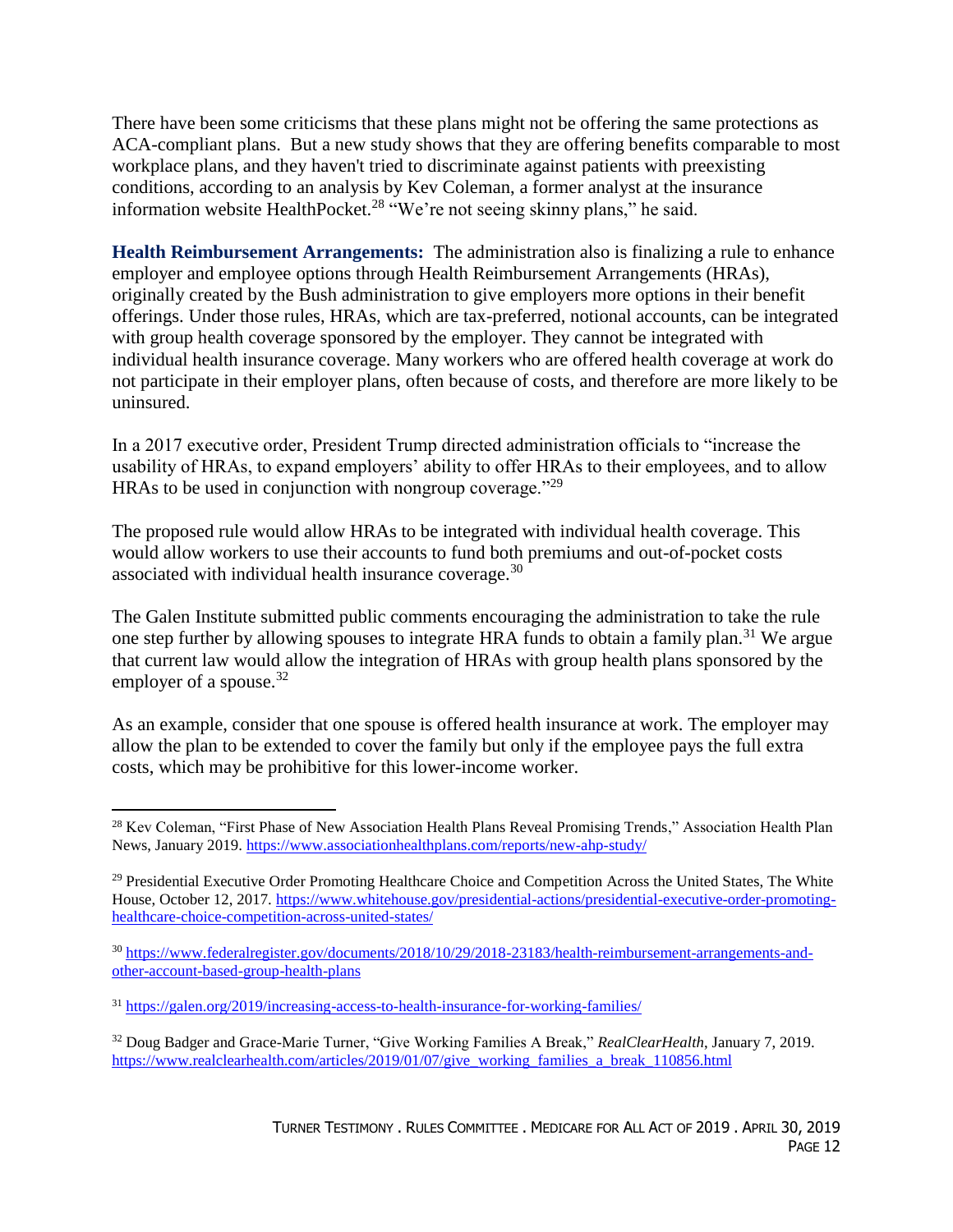There have been some criticisms that these plans might not be offering the same protections as ACA-compliant plans. But a new study shows that they are offering benefits comparable to most workplace plans, and they haven't tried to discriminate against patients with preexisting conditions, according to an analysis by Kev Coleman, a former analyst at the insurance information website HealthPocket.<sup>28</sup> "We're not seeing skinny plans," he said.

**Health Reimbursement Arrangements:** The administration also is finalizing a rule to enhance employer and employee options through Health Reimbursement Arrangements (HRAs), originally created by the Bush administration to give employers more options in their benefit offerings. Under those rules, HRAs, which are tax-preferred, notional accounts, can be integrated with group health coverage sponsored by the employer. They cannot be integrated with individual health insurance coverage. Many workers who are offered health coverage at work do not participate in their employer plans, often because of costs, and therefore are more likely to be uninsured.

In a 2017 executive order, President Trump directed administration officials to "increase the usability of HRAs, to expand employers' ability to offer HRAs to their employees, and to allow HRAs to be used in conjunction with nongroup coverage."<sup>29</sup>

The proposed rule would allow HRAs to be integrated with individual health coverage. This would allow workers to use their accounts to fund both premiums and out-of-pocket costs associated with individual health insurance coverage. $30$ 

The Galen Institute submitted public comments encouraging the administration to take the rule one step further by allowing spouses to integrate HRA funds to obtain a family plan.<sup>31</sup> We argue that current law would allow the integration of HRAs with group health plans sponsored by the employer of a spouse. $32$ 

As an example, consider that one spouse is offered health insurance at work. The employer may allow the plan to be extended to cover the family but only if the employee pays the full extra costs, which may be prohibitive for this lower-income worker.

 $\overline{a}$ <sup>28</sup> Kev Coleman, "First Phase of New Association Health Plans Reveal Promising Trends," Association Health Plan News, January 2019.<https://www.associationhealthplans.com/reports/new-ahp-study/>

<sup>&</sup>lt;sup>29</sup> Presidential Executive Order Promoting Healthcare Choice and Competition Across the United States, The White House, October 12, 2017. [https://www.whitehouse.gov/presidential-actions/presidential-executive-order-promoting](https://www.whitehouse.gov/presidential-actions/presidential-executive-order-promoting-healthcare-choice-competition-across-united-states/)[healthcare-choice-competition-across-united-states/](https://www.whitehouse.gov/presidential-actions/presidential-executive-order-promoting-healthcare-choice-competition-across-united-states/)

<sup>30</sup> [https://www.federalregister.gov/documents/2018/10/29/2018-23183/health-reimbursement-arrangements-and](https://www.federalregister.gov/documents/2018/10/29/2018-23183/health-reimbursement-arrangements-and-other-account-based-group-health-plans)[other-account-based-group-health-plans](https://www.federalregister.gov/documents/2018/10/29/2018-23183/health-reimbursement-arrangements-and-other-account-based-group-health-plans)

<sup>31</sup> <https://galen.org/2019/increasing-access-to-health-insurance-for-working-families/>

<sup>32</sup> Doug Badger and Grace-Marie Turner, "Give Working Families A Break," *RealClearHealth*, January 7, 2019. [https://www.realclearhealth.com/articles/2019/01/07/give\\_working\\_families\\_a\\_break\\_110856.html](https://www.realclearhealth.com/articles/2019/01/07/give_working_families_a_break_110856.html)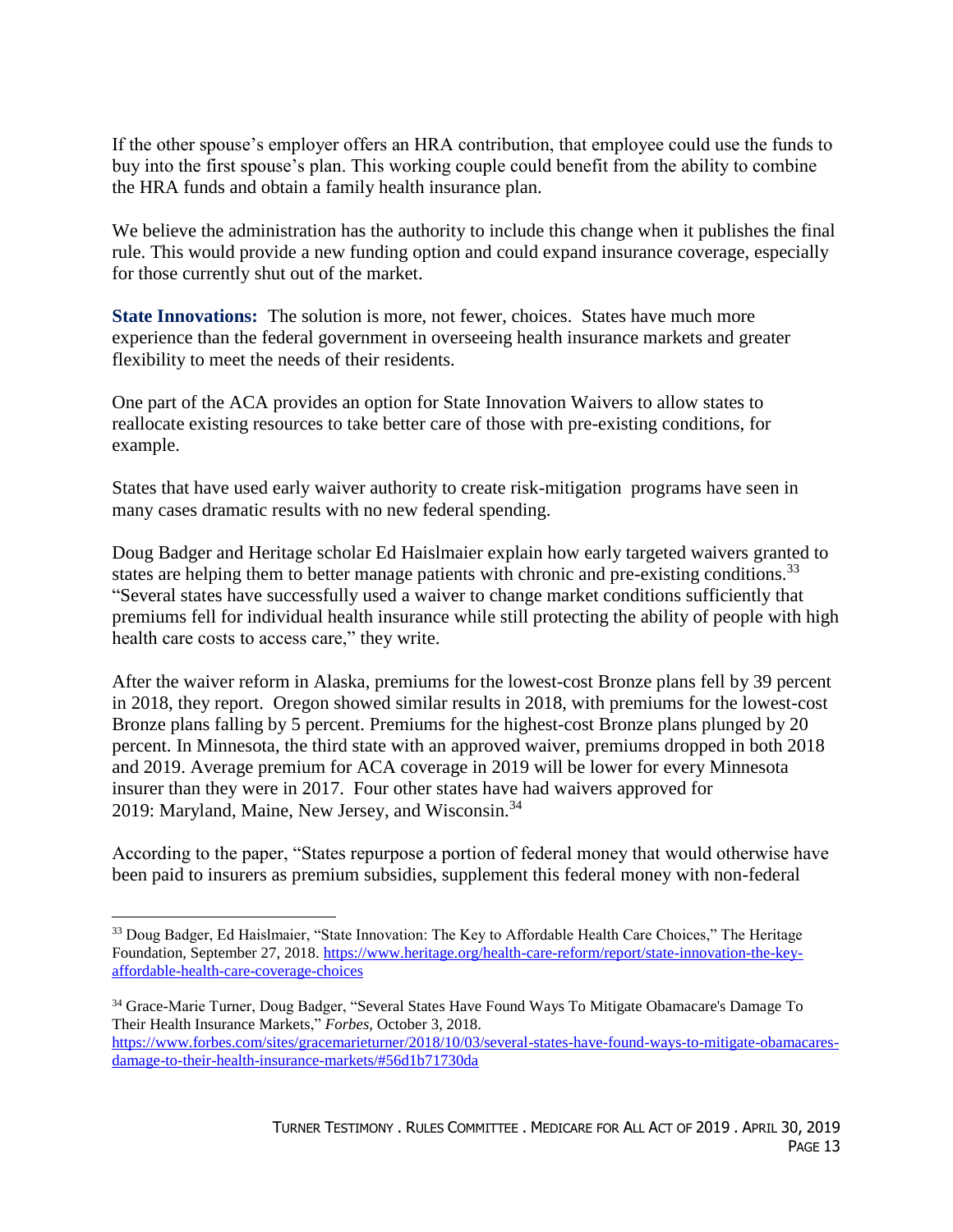If the other spouse's employer offers an HRA contribution, that employee could use the funds to buy into the first spouse's plan. This working couple could benefit from the ability to combine the HRA funds and obtain a family health insurance plan.

We believe the administration has the authority to include this change when it publishes the final rule. This would provide a new funding option and could expand insurance coverage, especially for those currently shut out of the market.

**State Innovations:** The solution is more, not fewer, choices. States have much more experience than the federal government in overseeing health insurance markets and greater flexibility to meet the needs of their residents.

One part of the ACA provides an option for State Innovation Waivers to allow states to reallocate existing resources to take better care of those with pre-existing conditions, for example.

States that have used early waiver authority to create risk-mitigation programs have seen in many cases dramatic results with no new federal spending.

Doug Badger and Heritage scholar Ed Haislmaier explain how early targeted waivers granted to states are helping them to better manage patients with chronic and pre-existing conditions.<sup>33</sup> "Several states have successfully used a waiver to change market conditions sufficiently that premiums fell for individual health insurance while still protecting the ability of people with high health care costs to access care," they write.

After the waiver reform in Alaska, premiums for the lowest-cost Bronze plans fell by 39 percent in 2018, they report. Oregon showed similar results in 2018, with premiums for the lowest-cost Bronze plans falling by 5 percent. Premiums for the highest-cost Bronze plans plunged by 20 percent. In Minnesota, the third state with an approved waiver, premiums dropped in both 2018 and 2019. Average premium for ACA coverage in 2019 will be lower for every Minnesota insurer than they were in 2017. Four other states have had waivers approved for 2019: Maryland, Maine, New Jersey, and Wisconsin.<sup>34</sup>

According to the paper, "States repurpose a portion of federal money that would otherwise have been paid to insurers as premium subsidies, supplement this federal money with non-federal

<sup>&</sup>lt;sup>33</sup> Doug Badger, Ed Haislmaier, "State Innovation: The Key to Affordable Health Care Choices," The Heritage Foundation, September 27, 2018. [https://www.heritage.org/health-care-reform/report/state-innovation-the-key](https://www.heritage.org/health-care-reform/report/state-innovation-the-key-affordable-health-care-coverage-choices)[affordable-health-care-coverage-choices](https://www.heritage.org/health-care-reform/report/state-innovation-the-key-affordable-health-care-coverage-choices)

<sup>34</sup> Grace-Marie Turner, Doug Badger, "Several States Have Found Ways To Mitigate Obamacare's Damage To Their Health Insurance Markets," *Forbes*, October 3, 2018. [https://www.forbes.com/sites/gracemarieturner/2018/10/03/several-states-have-found-ways-to-mitigate-obamacares](https://www.forbes.com/sites/gracemarieturner/2018/10/03/several-states-have-found-ways-to-mitigate-obamacares-damage-to-their-health-insurance-markets/#56d1b71730da)[damage-to-their-health-insurance-markets/#56d1b71730da](https://www.forbes.com/sites/gracemarieturner/2018/10/03/several-states-have-found-ways-to-mitigate-obamacares-damage-to-their-health-insurance-markets/#56d1b71730da)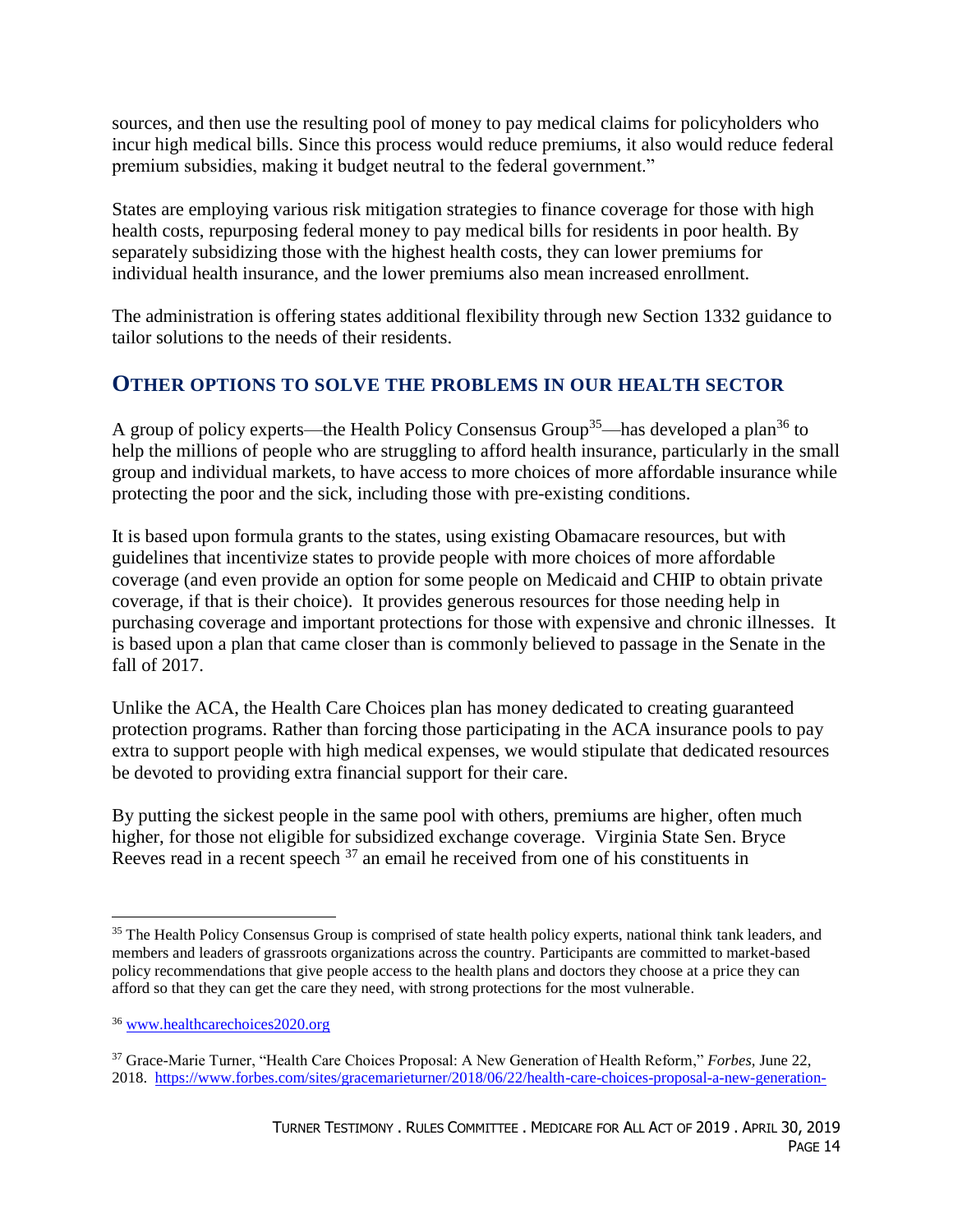sources, and then use the resulting pool of money to pay medical claims for policyholders who incur high medical bills. Since this process would reduce premiums, it also would reduce federal premium subsidies, making it budget neutral to the federal government."

States are employing various risk mitigation strategies to finance coverage for those with high health costs, repurposing federal money to pay medical bills for residents in poor health. By separately subsidizing those with the highest health costs, they can lower premiums for individual health insurance, and the lower premiums also mean increased enrollment.

The administration is offering states additional flexibility through new Section 1332 guidance to tailor solutions to the needs of their residents.

### **OTHER OPTIONS TO SOLVE THE PROBLEMS IN OUR HEALTH SECTOR**

A group of policy experts—the Health Policy Consensus Group<sup>35</sup>—has developed a plan<sup>36</sup> to help the millions of people who are struggling to afford health insurance, particularly in the small group and individual markets, to have access to more choices of more affordable insurance while protecting the poor and the sick, including those with pre-existing conditions.

It is based upon formula grants to the states, using existing Obamacare resources, but with guidelines that incentivize states to provide people with more choices of more affordable coverage (and even provide an option for some people on Medicaid and CHIP to obtain private coverage, if that is their choice). It provides generous resources for those needing help in purchasing coverage and important protections for those with expensive and chronic illnesses. It is based upon a plan that came closer than is commonly believed to passage in the Senate in the fall of 2017.

Unlike the ACA, the Health Care Choices plan has money dedicated to creating guaranteed protection programs. Rather than forcing those participating in the ACA insurance pools to pay extra to support people with high medical expenses, we would stipulate that dedicated resources be devoted to providing extra financial support for their care.

By putting the sickest people in the same pool with others, premiums are higher, often much higher, for those not eligible for subsidized exchange coverage. Virginia State Sen. Bryce Reeves read in a recent speech <sup>37</sup> an email he received from one of his constituents in

<sup>&</sup>lt;sup>35</sup> The Health Policy Consensus Group is comprised of state health policy experts, national think tank leaders, and members and leaders of grassroots organizations across the country. Participants are committed to market-based policy recommendations that give people access to the health plans and doctors they choose at a price they can afford so that they can get the care they need, with strong protections for the most vulnerable.

<sup>36</sup> [www.healthcarechoices2020.org](http://www.healthcarechoices2020.org/)

<sup>37</sup> Grace-Marie Turner, "Health Care Choices Proposal: A New Generation of Health Reform," *Forbes,* June 22, 2018. [https://www.forbes.com/sites/gracemarieturner/2018/06/22/health-care-choices-proposal-a-new-generation-](https://www.forbes.com/sites/gracemarieturner/2018/06/22/health-care-choices-proposal-a-new-generation-of-health-reform/#1106ce6664f1)